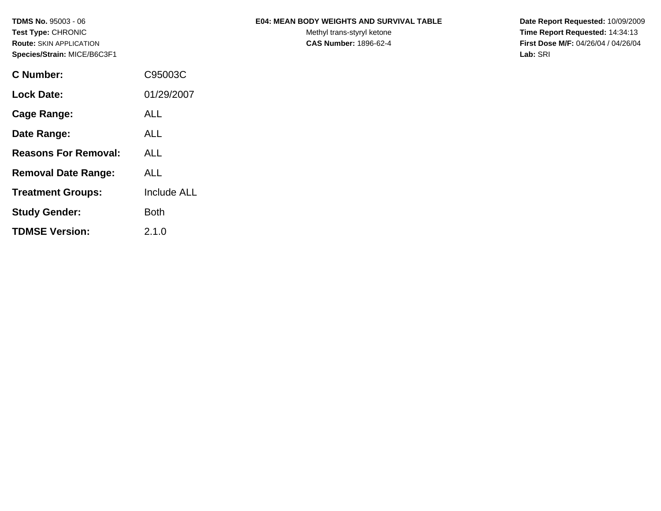| <b>TDMS No. 95003 - 06</b> | <b>E04: MEAN BODY WEIGHTS AND SURVIVAL TABLE</b> | Date Report Requested: 10/09/2009 |
|----------------------------|--------------------------------------------------|-----------------------------------|
|----------------------------|--------------------------------------------------|-----------------------------------|

Test Type: CHRONIC **Test Type:** CHRONIC **Test Type:** CHRONIC **Time Report Requested:** 14:34:13 **Route:** SKIN APPLICATION **CAS Number:** 1896-62-4 **First Dose M/F:** 04/26/04 / 04/26/04

| <b>C</b> Number:            | C95003C            |
|-----------------------------|--------------------|
| Lock Date:                  | 01/29/2007         |
| Cage Range:                 | <b>ALL</b>         |
| Date Range:                 | ALL                |
| <b>Reasons For Removal:</b> | ALL                |
| <b>Removal Date Range:</b>  | ALL                |
| <b>Treatment Groups:</b>    | <b>Include ALL</b> |
| <b>Study Gender:</b>        | Both               |
| <b>TDMSE Version:</b>       | 2.1.0              |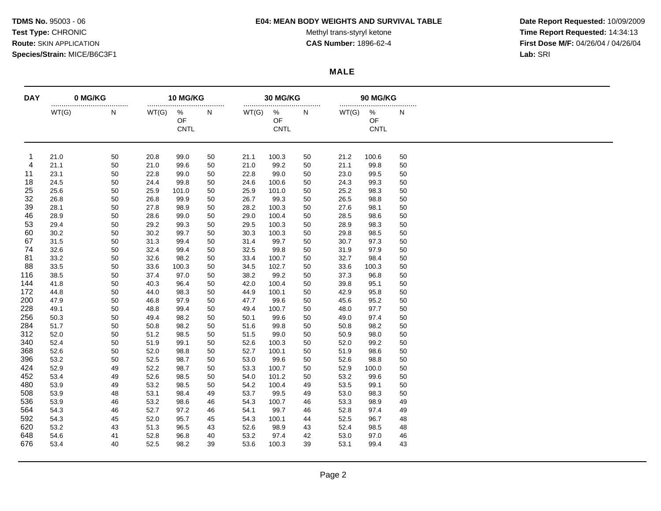### **TDMS No.** 95003 - 06 **E04: MEAN BODY WEIGHTS AND SURVIVAL TABLE Date Report Requested:** 10/09/2009

Test Type: CHRONIC **Test Type:** CHRONIC **Test Type:** CHRONIC **Time Report Requested:** 14:34:13 **Route:** SKIN APPLICATION **CAS Number:** 1896-62-4 **First Dose M/F:** 04/26/04 / 04/26/04

### **MALE**

| <b>DAY</b> | 0 MG/KG |    | 10 MG/KG |                     |    |       | 30 MG/KG                  |       |       | 90 MG/KG                   |    |  |  |
|------------|---------|----|----------|---------------------|----|-------|---------------------------|-------|-------|----------------------------|----|--|--|
|            | WT(G)   | N  | WT(G)    | <br>%<br>OF<br>CNTL | N  | WT(G) | $\%$<br>OF<br><b>CNTL</b> | <br>N | WT(G) | <br>%<br>OF<br><b>CNTL</b> | N  |  |  |
| -1         | 21.0    | 50 | 20.8     | 99.0                | 50 | 21.1  | 100.3                     | 50    | 21.2  | 100.6                      | 50 |  |  |
| 4          | 21.1    | 50 | 21.0     | 99.6                | 50 | 21.0  | 99.2                      | 50    | 21.1  | 99.8                       | 50 |  |  |
| 11         | 23.1    | 50 | 22.8     | 99.0                | 50 | 22.8  | 99.0                      | 50    | 23.0  | 99.5                       | 50 |  |  |
| 18         | 24.5    | 50 | 24.4     | 99.8                | 50 | 24.6  | 100.6                     | 50    | 24.3  | 99.3                       | 50 |  |  |
| 25         | 25.6    | 50 | 25.9     | 101.0               | 50 | 25.9  | 101.0                     | 50    | 25.2  | 98.3                       | 50 |  |  |
| 32         | 26.8    | 50 | 26.8     | 99.9                | 50 | 26.7  | 99.3                      | 50    | 26.5  | 98.8                       | 50 |  |  |
| 39         | 28.1    | 50 | 27.8     | 98.9                | 50 | 28.2  | 100.3                     | 50    | 27.6  | 98.1                       | 50 |  |  |
| 46         | 28.9    | 50 | 28.6     | 99.0                | 50 | 29.0  | 100.4                     | 50    | 28.5  | 98.6                       | 50 |  |  |
| 53         | 29.4    | 50 | 29.2     | 99.3                | 50 | 29.5  | 100.3                     | 50    | 28.9  | 98.3                       | 50 |  |  |
| 60         | 30.2    | 50 | 30.2     | 99.7                | 50 | 30.3  | 100.3                     | 50    | 29.8  | 98.5                       | 50 |  |  |
| 67         | 31.5    | 50 | 31.3     | 99.4                | 50 | 31.4  | 99.7                      | 50    | 30.7  | 97.3                       | 50 |  |  |
| 74         | 32.6    | 50 | 32.4     | 99.4                | 50 | 32.5  | 99.8                      | 50    | 31.9  | 97.9                       | 50 |  |  |
| 81         | 33.2    | 50 | 32.6     | 98.2                | 50 | 33.4  | 100.7                     | 50    | 32.7  | 98.4                       | 50 |  |  |
| 88         | 33.5    | 50 | 33.6     | 100.3               | 50 | 34.5  | 102.7                     | 50    | 33.6  | 100.3                      | 50 |  |  |
| 116        | 38.5    | 50 | 37.4     | 97.0                | 50 | 38.2  | 99.2                      | 50    | 37.3  | 96.8                       | 50 |  |  |
| 144        | 41.8    | 50 | 40.3     | 96.4                | 50 | 42.0  | 100.4                     | 50    | 39.8  | 95.1                       | 50 |  |  |
| 172        | 44.8    | 50 | 44.0     | 98.3                | 50 | 44.9  | 100.1                     | 50    | 42.9  | 95.8                       | 50 |  |  |
| 200        | 47.9    | 50 | 46.8     | 97.9                | 50 | 47.7  | 99.6                      | 50    | 45.6  | 95.2                       | 50 |  |  |
| 228        | 49.1    | 50 | 48.8     | 99.4                | 50 | 49.4  | 100.7                     | 50    | 48.0  | 97.7                       | 50 |  |  |
| 256        | 50.3    | 50 | 49.4     | 98.2                | 50 | 50.1  | 99.6                      | 50    | 49.0  | 97.4                       | 50 |  |  |
| 284        | 51.7    | 50 | 50.8     | 98.2                | 50 | 51.6  | 99.8                      | 50    | 50.8  | 98.2                       | 50 |  |  |
| 312        | 52.0    | 50 | 51.2     | 98.5                | 50 | 51.5  | 99.0                      | 50    | 50.9  | 98.0                       | 50 |  |  |
| 340        | 52.4    | 50 | 51.9     | 99.1                | 50 | 52.6  | 100.3                     | 50    | 52.0  | 99.2                       | 50 |  |  |
| 368        | 52.6    | 50 | 52.0     | 98.8                | 50 | 52.7  | 100.1                     | 50    | 51.9  | 98.6                       | 50 |  |  |
| 396        | 53.2    | 50 | 52.5     | 98.7                | 50 | 53.0  | 99.6                      | 50    | 52.6  | 98.8                       | 50 |  |  |
| 424        | 52.9    | 49 | 52.2     | 98.7                | 50 | 53.3  | 100.7                     | 50    | 52.9  | 100.0                      | 50 |  |  |
| 452        | 53.4    | 49 | 52.6     | 98.5                | 50 | 54.0  | 101.2                     | 50    | 53.2  | 99.6                       | 50 |  |  |
| 480        | 53.9    | 49 | 53.2     | 98.5                | 50 | 54.2  | 100.4                     | 49    | 53.5  | 99.1                       | 50 |  |  |
| 508        |         |    |          |                     |    | 53.7  |                           |       |       |                            |    |  |  |
|            | 53.9    | 48 | 53.1     | 98.4                | 49 |       | 99.5                      | 49    | 53.0  | 98.3                       | 50 |  |  |
| 536        | 53.9    | 46 | 53.2     | 98.6                | 46 | 54.3  | 100.7                     | 46    | 53.3  | 98.9                       | 49 |  |  |
| 564        | 54.3    | 46 | 52.7     | 97.2                | 46 | 54.1  | 99.7                      | 46    | 52.8  | 97.4                       | 49 |  |  |
| 592        | 54.3    | 45 | 52.0     | 95.7                | 45 | 54.3  | 100.1                     | 44    | 52.5  | 96.7                       | 48 |  |  |
| 620        | 53.2    | 43 | 51.3     | 96.5                | 43 | 52.6  | 98.9                      | 43    | 52.4  | 98.5                       | 48 |  |  |
| 648        | 54.6    | 41 | 52.8     | 96.8                | 40 | 53.2  | 97.4                      | 42    | 53.0  | 97.0                       | 46 |  |  |
| 676        | 53.4    | 40 | 52.5     | 98.2                | 39 | 53.6  | 100.3                     | 39    | 53.1  | 99.4                       | 43 |  |  |

Page 2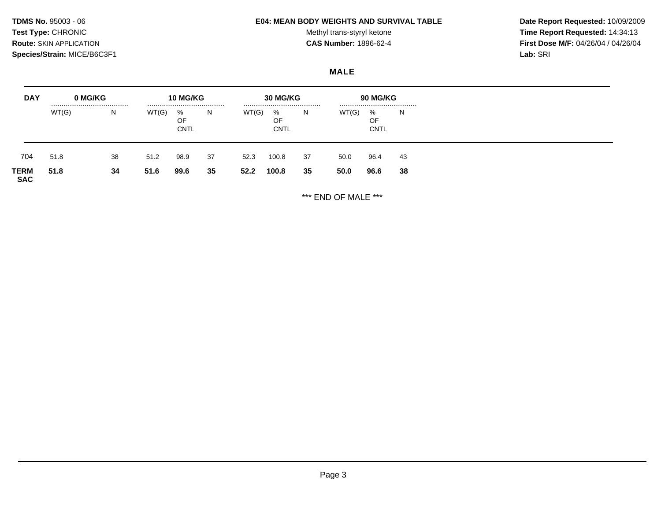# **TDMS No.** 95003 - 06 **E04: MEAN BODY WEIGHTS AND SURVIVAL TABLE Date Report Requested:** 10/09/2009

Test Type: CHRONIC **Test Type:** CHRONIC **Test Type:** CHRONIC **Time Report Requested:** 14:34:13 **Route:** SKIN APPLICATION **CAS Number:** 1896-62-4 **First Dose M/F:** 04/26/04 / 04/26/04

## **MALE**

| <b>DAY</b>         | 0 MG/KG | 10 MG/KG<br> |       |                         | 30 MG/KG<br> |       |                        | 90 MG/KG<br> |       |                        |    |
|--------------------|---------|--------------|-------|-------------------------|--------------|-------|------------------------|--------------|-------|------------------------|----|
|                    | WT(G)   | N.           | WT(G) | %<br>OF.<br><b>CNTL</b> | N.           | WT(G) | %<br>OF<br><b>CNTL</b> | <sub>N</sub> | WT(G) | %<br>OF<br><b>CNTL</b> | N. |
| 704                | 51.8    | 38           | 51.2  | 98.9                    | 37           | 52.3  | 100.8                  | 37           | 50.0  | 96.4                   | 43 |
| TERM<br><b>SAC</b> | 51.8    | 34           | 51.6  | 99.6                    | 35           | 52.2  | 100.8                  | 35           | 50.0  | 96.6                   | 38 |

\*\*\* END OF MALE \*\*\*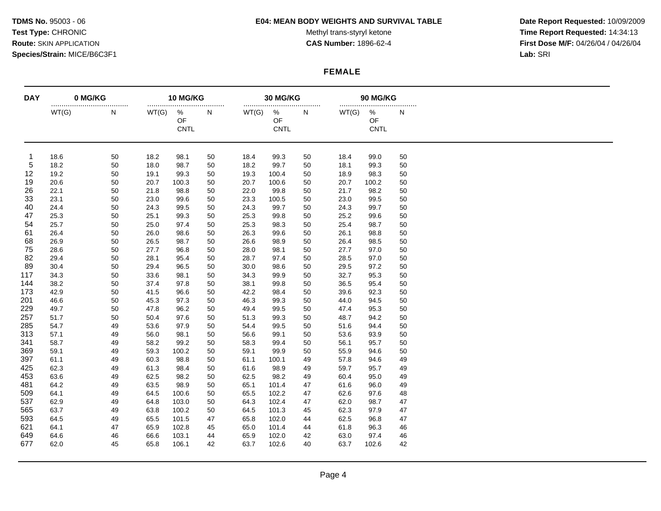### **TDMS No.** 95003 - 06 **E04: MEAN BODY WEIGHTS AND SURVIVAL TABLE Date Report Requested:** 10/09/2009

Test Type: CHRONIC **Test Type:** CHRONIC **Test Type:** CHRONIC **Time Report Requested:** 14:34:13 **Route:** SKIN APPLICATION **CAS Number:** 1896-62-4 **First Dose M/F:** 04/26/04 / 04/26/04

## **FEMALE**

| <b>DAY</b> | 0 MG/KG |       |       | 10 MG/KG            |    | 30 MG/KG<br> |                        |    |       | 90 MG/KG<br>    |    |  |  |
|------------|---------|-------|-------|---------------------|----|--------------|------------------------|----|-------|-----------------|----|--|--|
|            | WT(G)   | <br>Ν | WT(G) | <br>%<br>OF<br>CNTL | N  | WT(G)        | %<br>OF<br><b>CNTL</b> | N  | WT(G) | %<br>OF<br>CNTL | N  |  |  |
| -1         | 18.6    | 50    | 18.2  | 98.1                | 50 | 18.4         | 99.3                   | 50 | 18.4  | 99.0            | 50 |  |  |
| 5          | 18.2    | 50    | 18.0  | 98.7                | 50 | 18.2         | 99.7                   | 50 | 18.1  | 99.3            | 50 |  |  |
| 12         | 19.2    | 50    | 19.1  | 99.3                | 50 | 19.3         | 100.4                  | 50 | 18.9  | 98.3            | 50 |  |  |
| 19         | 20.6    | 50    | 20.7  | 100.3               | 50 | 20.7         | 100.6                  | 50 | 20.7  | 100.2           | 50 |  |  |
| 26         | 22.1    | 50    | 21.8  | 98.8                | 50 | 22.0         | 99.8                   | 50 | 21.7  | 98.2            | 50 |  |  |
| 33         | 23.1    | 50    | 23.0  | 99.6                | 50 | 23.3         | 100.5                  | 50 | 23.0  | 99.5            | 50 |  |  |
| 40         | 24.4    | 50    | 24.3  | 99.5                | 50 | 24.3         | 99.7                   | 50 | 24.3  | 99.7            | 50 |  |  |
| 47         | 25.3    | 50    | 25.1  | 99.3                | 50 | 25.3         | 99.8                   | 50 | 25.2  | 99.6            | 50 |  |  |
| 54         | 25.7    | 50    | 25.0  | 97.4                | 50 | 25.3         | 98.3                   | 50 | 25.4  | 98.7            | 50 |  |  |
| 61         | 26.4    | 50    | 26.0  | 98.6                | 50 | 26.3         | 99.6                   | 50 | 26.1  | 98.8            | 50 |  |  |
| 68         | 26.9    | 50    | 26.5  | 98.7                | 50 | 26.6         | 98.9                   | 50 | 26.4  | 98.5            | 50 |  |  |
| 75         | 28.6    | 50    | 27.7  | 96.8                | 50 | 28.0         | 98.1                   | 50 | 27.7  | 97.0            | 50 |  |  |
| 82         | 29.4    | 50    | 28.1  | 95.4                | 50 | 28.7         | 97.4                   | 50 | 28.5  | 97.0            | 50 |  |  |
| 89         | 30.4    | 50    | 29.4  | 96.5                | 50 | 30.0         | 98.6                   | 50 | 29.5  | 97.2            | 50 |  |  |
| 117        | 34.3    | 50    | 33.6  | 98.1                | 50 | 34.3         | 99.9                   | 50 | 32.7  | 95.3            | 50 |  |  |
| 144        | 38.2    | 50    | 37.4  | 97.8                | 50 | 38.1         | 99.8                   | 50 | 36.5  | 95.4            | 50 |  |  |
| 173        | 42.9    | 50    | 41.5  | 96.6                | 50 | 42.2         | 98.4                   | 50 | 39.6  | 92.3            | 50 |  |  |
| 201        | 46.6    | 50    | 45.3  | 97.3                | 50 | 46.3         | 99.3                   | 50 | 44.0  | 94.5            | 50 |  |  |
| 229        | 49.7    | 50    | 47.8  | 96.2                | 50 | 49.4         | 99.5                   | 50 | 47.4  | 95.3            | 50 |  |  |
| 257        | 51.7    | 50    | 50.4  | 97.6                | 50 | 51.3         | 99.3                   | 50 | 48.7  | 94.2            | 50 |  |  |
| 285        | 54.7    | 49    | 53.6  | 97.9                | 50 | 54.4         | 99.5                   | 50 | 51.6  | 94.4            | 50 |  |  |
| 313        | 57.1    | 49    | 56.0  | 98.1                | 50 | 56.6         | 99.1                   | 50 | 53.6  | 93.9            | 50 |  |  |
| 341        | 58.7    | 49    | 58.2  | 99.2                | 50 | 58.3         | 99.4                   | 50 | 56.1  | 95.7            | 50 |  |  |
| 369        | 59.1    | 49    | 59.3  | 100.2               | 50 | 59.1         | 99.9                   | 50 | 55.9  | 94.6            | 50 |  |  |
| 397        | 61.1    | 49    | 60.3  | 98.8                | 50 | 61.1         | 100.1                  | 49 | 57.8  | 94.6            | 49 |  |  |
| 425        | 62.3    | 49    | 61.3  | 98.4                | 50 | 61.6         | 98.9                   | 49 | 59.7  | 95.7            | 49 |  |  |
| 453        | 63.6    | 49    | 62.5  | 98.2                | 50 | 62.5         | 98.2                   | 49 | 60.4  | 95.0            | 49 |  |  |
| 481        | 64.2    | 49    | 63.5  | 98.9                | 50 | 65.1         | 101.4                  | 47 | 61.6  | 96.0            | 49 |  |  |
| 509        | 64.1    | 49    | 64.5  | 100.6               | 50 | 65.5         | 102.2                  | 47 | 62.6  | 97.6            | 48 |  |  |
| 537        | 62.9    | 49    | 64.8  | 103.0               | 50 | 64.3         | 102.4                  | 47 | 62.0  | 98.7            | 47 |  |  |
| 565        | 63.7    | 49    | 63.8  | 100.2               | 50 | 64.5         | 101.3                  |    | 62.3  | 97.9            | 47 |  |  |
| 593        | 64.5    |       | 65.5  | 101.5               |    | 65.8         | 102.0                  | 45 | 62.5  | 96.8            | 47 |  |  |
|            |         | 49    |       |                     | 47 |              |                        | 44 |       |                 |    |  |  |
| 621        | 64.1    | 47    | 65.9  | 102.8               | 45 | 65.0         | 101.4                  | 44 | 61.8  | 96.3            | 46 |  |  |
| 649        | 64.6    | 46    | 66.6  | 103.1               | 44 | 65.9         | 102.0                  | 42 | 63.0  | 97.4            | 46 |  |  |
| 677        | 62.0    | 45    | 65.8  | 106.1               | 42 | 63.7         | 102.6                  | 40 | 63.7  | 102.6           | 42 |  |  |